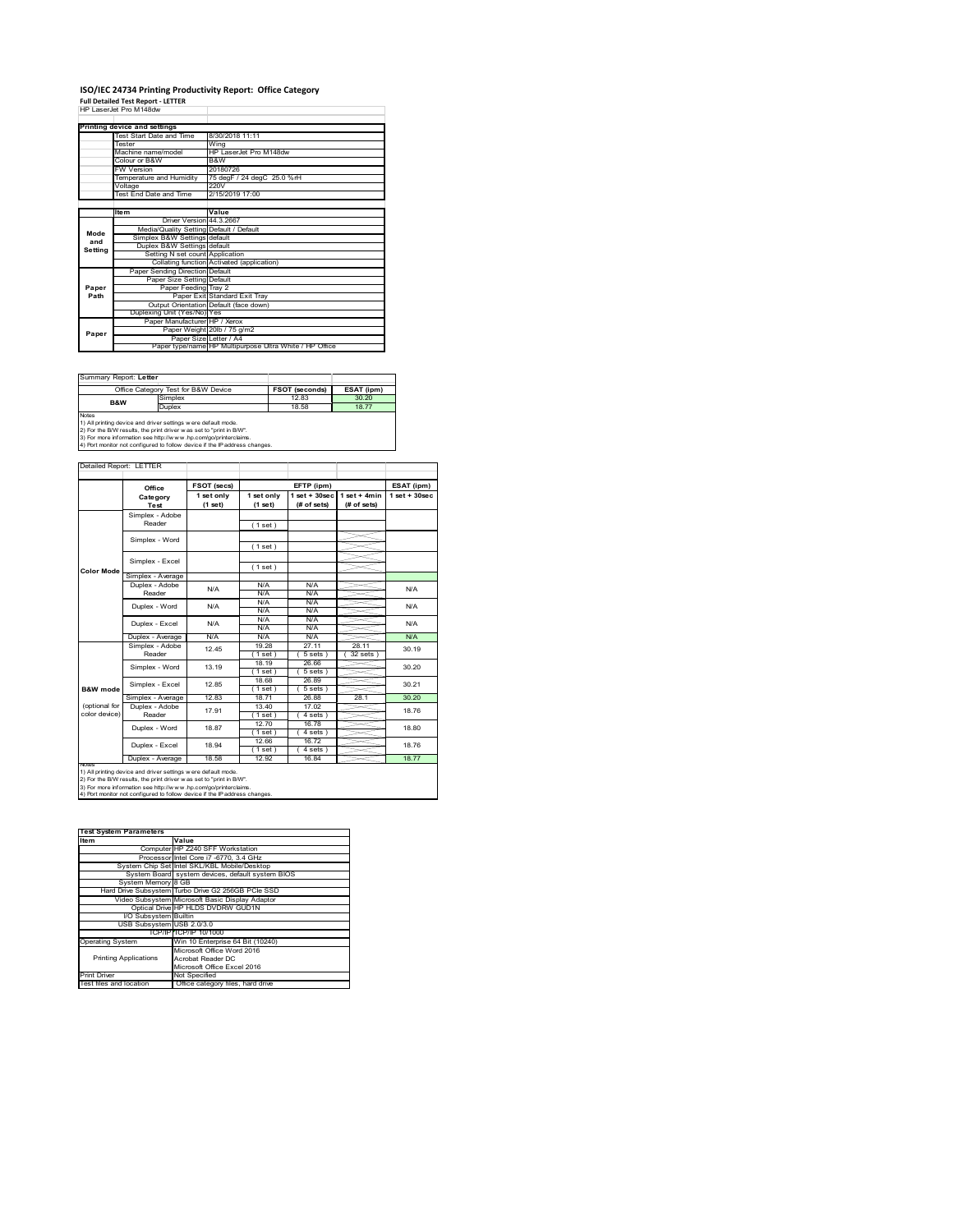### **ISO/IEC 24734 Printing Productivity Report: Office Category Full Detailed Test Report ‐ LETTER** HP LaserJet Pro M148dw

|         | HP 1 2866.89 PTO M 1460W                |                                                         |
|---------|-----------------------------------------|---------------------------------------------------------|
|         |                                         |                                                         |
|         | Printing device and settings            |                                                         |
|         | Test Start Date and Time                | 8/30/2018 11:11                                         |
|         | Tester                                  | Wina                                                    |
|         | Machine name/model                      | HP LaserJet Pro M148dw                                  |
|         | Colour or B&W                           | B&W                                                     |
|         | <b>FW Version</b>                       | 20180726                                                |
|         | Temperature and Humidity                | 75 degF / 24 degC 25.0 %rH                              |
|         | Voltage                                 | 220V                                                    |
|         | Test End Date and Time                  | 2/15/2019 17:00                                         |
|         |                                         |                                                         |
|         | <b>Item</b>                             | Value                                                   |
|         | Driver Version 44.3.2667                |                                                         |
| Mode    | Media/Quality Setting Default / Default |                                                         |
| and     | Simplex B&W Settings default            |                                                         |
| Setting | Duplex B&W Settings default             |                                                         |
|         | Setting N set count Application         |                                                         |
|         |                                         | Collating function Activated (application)              |
|         | Paper Sending Direction Default         |                                                         |
|         | Paper Size Setting Default              |                                                         |
| Paper   | Paper Feeding Tray 2                    |                                                         |
| Path    |                                         | Paper Exit Standard Exit Trav                           |
|         |                                         | Output Orientation Default (face down)                  |
|         | Duplexing Unit (Yes/No) Yes             |                                                         |
|         | Paper Manufacturer HP / Xerox           |                                                         |
| Paper   |                                         | Paper Weight 20lb / 75 g/m2                             |
|         |                                         | Paper Size Letter / A4                                  |
|         |                                         | Paper type/name HP Multipurpose Ultra White / HP Office |

| Summary Report: Letter |                                                                                                                                                                                                                                                                                        |                       |            |
|------------------------|----------------------------------------------------------------------------------------------------------------------------------------------------------------------------------------------------------------------------------------------------------------------------------------|-----------------------|------------|
|                        | Office Category Test for B&W Device                                                                                                                                                                                                                                                    | <b>FSOT (seconds)</b> | ESAT (ipm) |
| <b>B&amp;W</b>         | Simplex                                                                                                                                                                                                                                                                                | 12.83                 | 30.20      |
|                        | Duplex                                                                                                                                                                                                                                                                                 | 18.58                 | 18.77      |
| <b>Notes</b>           | 1) All printing device and driver settings w ere default mode.<br>2) For the B/W results, the print driver was set to "print in B/W".<br>3) For more information see http://www.hp.com/go/printerclaims.<br>4) Port monitor not configured to follow device if the IP address changes. |                       |            |

**FETP** (ipm) **ESAT** (ipm) **1 set only (1 set) 1 set only (1 set) 1 set + 30sec (# of sets) 1 set + 4min (# of sets) 1 set + 30sec** ( 1 set ) ( 1 set ) ( 1 set ) Simplex - Average Duplex - Adobe  $N/f$ N/A N/A N/A N/A N/A N/A N/A N/A  $N/A$   $N/A$   $N$ Puplex - Average N/A N/A N/A N/A N/A N/A N/A N/A N/A<br>
Simplex - Adobe 12.45 19.28 19.11 28.11 30.1<br>
Reader 12.45 19.88\ (1998) (59815) (329815) 30.1 19.28 27.11 28.11<br>
(1 set ) ( 5 sets ) ( 32 sets )<br>
18.19 26.66 ( 1 set ) ( 5 sets ) 18.68 26.89 1 set ) (5 sets<br>18.71 26.88 Simplex - Average 12.83 18.74 26.88 28.1 30.20<br>
Duplex - Adobe 17.91 13.40 17.02 28.1 30.20 13.40 17.02<br>(1 set) (4 set)  $17.91$   $13.40$   $14.76$   $18.76$  $12.70$  16.78  $(4 \text{ sets})$ <br> $16.72$  $(1 \text{ set})$ <br> $(1 \text{ set})$ <br> $(1 \text{ set})$ <br> $(12.92)$  $\frac{4 \text{ set}}{16.84}$ Duplex - Average | 18.58 | 12.92 | 16.84 | 18.77 30.21 ailed Report: LETTER **FSOT** (secs) **Category Test** N/A N/A N/A N/A Simplex - Word notes<br>1) All printing device and driver settings were default mode.<br>2) For the B/W results, the print driver was set to "print in B/W".<br>3) For more information see http://www.hp.com/go/printerclaims.<br>4) Por moralitor not c **B&W** mod (optional for color device) **Color Mode** Simplex - Adobe Reader Simplex - Excel Simplex - Word 13.19 Duplex - Excel Reader Duplex - Word N/A 18.94 Duplex - Word Duplex - Excel 18.80 18.76 18.87 Simplex - Excel 12.85 12.45 N/A 30.19 30.20

| <b>Test System Parameters</b> |                                                    |
|-------------------------------|----------------------------------------------------|
| Item                          | Value                                              |
|                               | Computer HP Z240 SFF Workstation                   |
|                               | Processor Intel Core i7 -6770, 3.4 GHz             |
|                               | System Chip Set Intel SKL/KBL Mobile/Desktop       |
|                               | System Board system devices, default system BIOS   |
| System Memory 8 GB            |                                                    |
|                               | Hard Drive Subsystem Turbo Drive G2 256GB PCle SSD |
|                               | Video Subsystem Microsoft Basic Display Adaptor    |
|                               | Optical Drive HP HLDS DVDRW GUD1N                  |
| I/O Subsystem Builtin         |                                                    |
| USB Subsystem USB 2.0/3.0     |                                                    |
|                               | TCP/IP TCP/IP 10/1000                              |
| <b>Operating System</b>       | Win 10 Enterprise 64 Bit (10240)                   |
|                               | Microsoft Office Word 2016                         |
| <b>Printing Applications</b>  | Acrobat Reader DC                                  |
|                               | Microsoft Office Excel 2016                        |
| <b>Print Driver</b>           | Not Specified                                      |
| Test files and location       | Office category files, hard drive                  |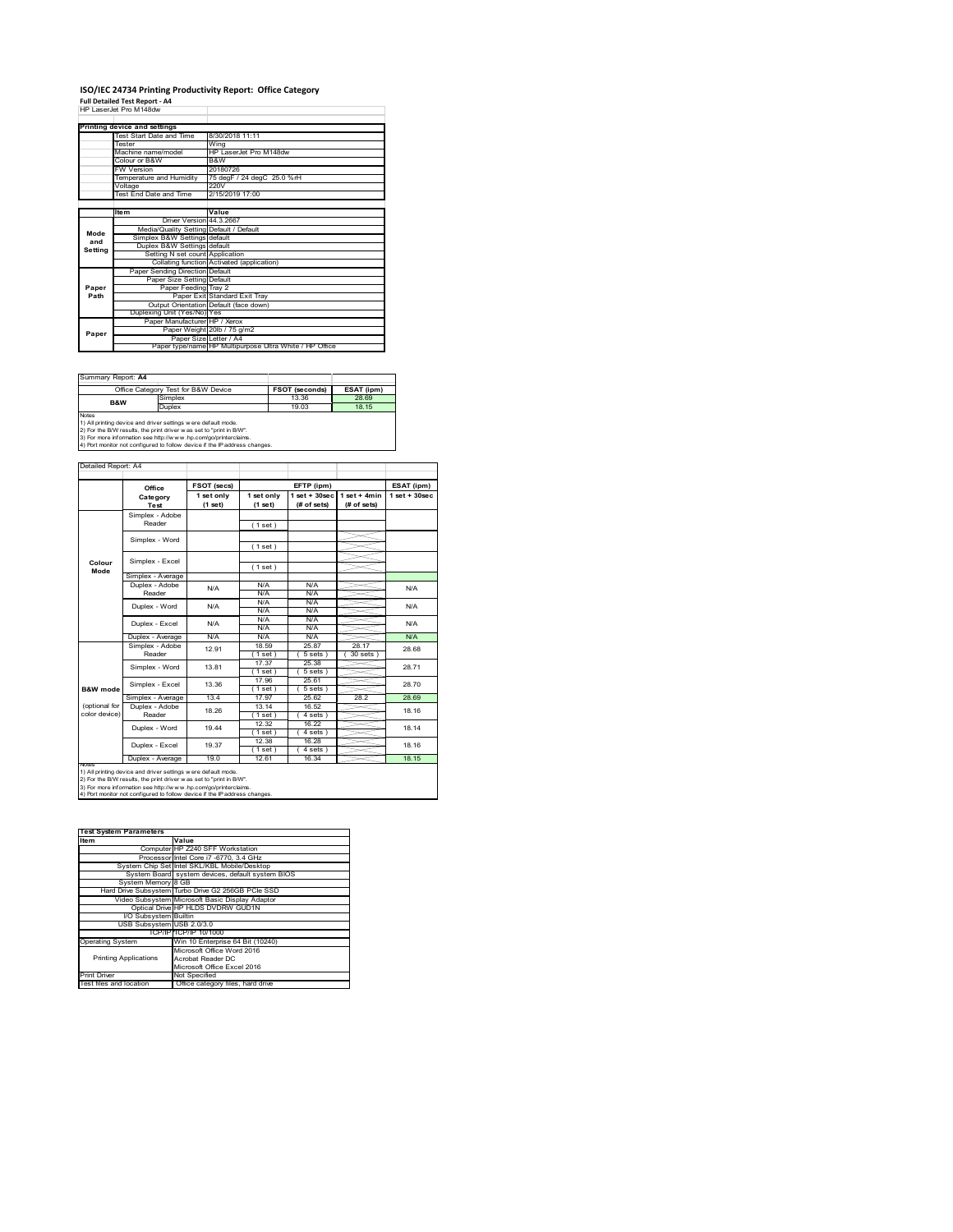### **ISO/IEC 24734 Printing Productivity Report: Office Category Full Detailed Test Report ‐ A4** HP LaserJet Pro M148dw

|         | Printing device and settings            |                                                         |
|---------|-----------------------------------------|---------------------------------------------------------|
|         | Test Start Date and Time                | 8/30/2018 11:11                                         |
|         | <b>Tester</b>                           | Wing                                                    |
|         | Machine name/model                      | HP LaserJet Pro M148dw                                  |
|         | Colour or B&W                           | B&W                                                     |
|         | <b>FW Version</b>                       | 20180726                                                |
|         | Temperature and Humidity                | 75 degF / 24 degC 25.0 %rH                              |
|         | Voltage                                 | 220V                                                    |
|         | Test End Date and Time                  | 2/15/2019 17:00                                         |
|         |                                         |                                                         |
|         | <b>Item</b>                             | Value                                                   |
|         | Driver Version 44.3.2667                |                                                         |
| Mode    | Media/Quality Setting Default / Default |                                                         |
| and     | Simplex B&W Settings default            |                                                         |
| Setting | Duplex B&W Settings default             |                                                         |
|         | Setting N set count Application         |                                                         |
|         |                                         | Collating function Activated (application)              |
|         | Paper Sending Direction Default         |                                                         |
|         | Paper Size Setting Default              |                                                         |
| Paper   | Paper Feeding Tray 2                    |                                                         |
| Path    |                                         | Paper Exit Standard Exit Tray                           |
|         |                                         | Output Orientation Default (face down)                  |
|         | Duplexing Unit (Yes/No) Yes             |                                                         |
|         | Paper Manufacturer HP / Xerox           |                                                         |
| Paper   |                                         | Paper Weight 20lb / 75 g/m2                             |
|         | Paper Size Letter / A4                  |                                                         |
|         |                                         | Paper type/name HP Multipurpose Ultra White / HP Office |

| Summary Report: A4 |                                                                                                                                                                                                                                                                                        |                       |            |
|--------------------|----------------------------------------------------------------------------------------------------------------------------------------------------------------------------------------------------------------------------------------------------------------------------------------|-----------------------|------------|
|                    | Office Category Test for B&W Device                                                                                                                                                                                                                                                    | <b>FSOT (seconds)</b> | ESAT (ipm) |
| <b>B&amp;W</b>     | Simplex                                                                                                                                                                                                                                                                                | 13.36                 | 28.69      |
|                    | Duplex                                                                                                                                                                                                                                                                                 | 19.03                 | 18.15      |
| <b>Notes</b>       | 1) All printing device and driver settings w ere default mode.<br>2) For the B/W results, the print driver was set to "print in B/W".<br>3) For more information see http://www.hp.com/go/printerclaims.<br>4) Port monitor not configured to follow device if the IP address changes. |                       |            |

**FSOT (secs) ESAT (ipm) EFTP (ipm) Office 1 set only (1 set) 1 set only (1 set) 1 set + 30sec (# of sets) 1 set + 4min (# of sets) 1 set + 30sec** ( 1 set ) ( 1 set ) ( 1 set ) Simplex - Average Duplex - Adobe  $N/f$ N/A N/A N/A N/A N/A N/A N/A N/A  $\frac{N}{N}$ Duplex - Average N/A N/A N/A N/A N/A N/A<br>Simplex - Adobe <sub>49.04</sub> 18.59 25.87 28.17 99.6 18.59 25.87 28.17  $(5 \text{ sets}) (30 \text{ sets})$ 17.37 25.38 ( 1 set ) ( 5 sets ) 17.96 25.61 1 set ) ( 5 set<br>17.97 25.62 Simplex - Average 13.4 17.97 25.62 28.2 28.69<br>
Duplex - Adobe 18.26 13.14 16.52 28.2 Reader 18.26 18.16 13.14 16.52<br>(1 set) (4 set) 1 set ) (4 sets )<br>12.32 16.22 16.22  $(4 \text{ sets})$ <br> $16.28$  $(1 \text{ set})$ <br> $(1 \text{ set})$ <br> $(1 \text{ set})$ <br> $(12.61)$  $(4 \text{ set}$   $16.34)$ Duplex - Average | 19.0 | 12.61 | 16.34 | 18.15 19.37 Duplex - Word Duplex - Excel 18.14 18.16 19.44 18.26 N/A 28.68 28.71 28.70 18.16 N/A Reader Simplex - Word 13.81 Duplex - Excel 12.91 notes<br>1) All printing device and driver settings were default mode.<br>2) For the B/W results, the print driver was set to "print in B/W".<br>3) For more information see http://www.hp.com/go/printerclaims.<br>4) Por moralitor not c **B&W mode** (optional for color device) **Colour Mode** Simplex - Adobe Reader Simplex - Excel Simplex - Word Simplex - Excel 13.36 Reader Duplex - Word ailed Report: A4 **Category Test** N/A  $N/A$   $N/A$   $N/A$   $N/A$   $N/A$ N/A

**Item Value Test System Parameters**Computer HP Z240 SFF Workstation Processor Intel Core i7 -6770, 3.4 GHz System Chip Set Intel SKL/KBL Mobile/Desktop System Board system devices, default system BIOS System Memory 8 GB Hard Drive Subsystem Turbo Drive G2 256GB PCIe SSD Video Subsystem Microsoft Basic Display Adaptor Optical Drive HP HLDS DVDRW GUD1N I/O Subsystem Builtin USB Subsystem USB 2.0/3.0 TCP/IP TCP/IP 10/1000<br>
Win 10 Enterprise 64 Bit (10240)<br>
Microsoft Office Word 2016<br>
Printing Applications<br>
Acrobat Reader DC<br>
Microsoft Office Excel 2016 Printing Applications Print Driver Mot Specified<br>Test files and location Office category files, hard drive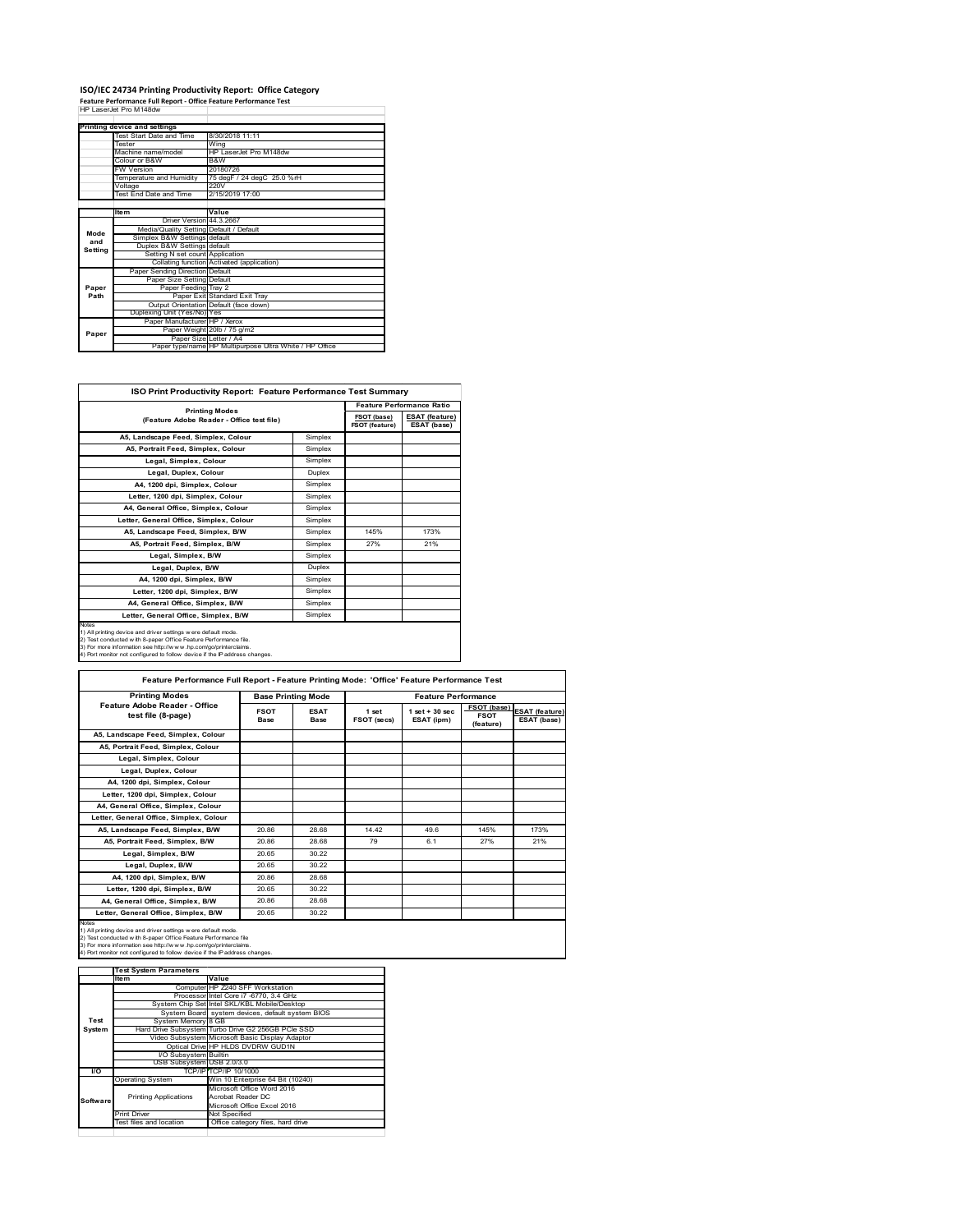# **ISO/IEC 24734 Printing Productivity Report: Office Category Feature Performance Full Report ‐ Office Feature Performance Test** HP LaserJet Pro M148dw

|         | Printing device and settings            |                                                         |
|---------|-----------------------------------------|---------------------------------------------------------|
|         | Test Start Date and Time                | 8/30/2018 11:11                                         |
|         | Tester                                  | Wing                                                    |
|         | Machine name/model                      | HP LaserJet Pro M148dw                                  |
|         | Colour or B&W                           | B&W                                                     |
|         | <b>FW Version</b>                       | 20180726                                                |
|         | Temperature and Humidity                | 75 degF / 24 degC 25.0 %rH                              |
|         | Voltage                                 | 220V                                                    |
|         | Test End Date and Time                  | 2/15/2019 17:00                                         |
|         |                                         |                                                         |
|         | <b>Item</b>                             | Value                                                   |
|         | Driver Version 44 3 2667                |                                                         |
| Mode    | Media/Quality Setting Default / Default |                                                         |
| and     | Simplex B&W Settings default            |                                                         |
| Setting | Duplex B&W Settings default             |                                                         |
|         | Setting N set count Application         |                                                         |
|         |                                         | Collating function Activated (application)              |
|         | Paper Sending Direction Default         |                                                         |
|         | Paper Size Setting Default              |                                                         |
| Paper   | Paper Feeding Tray 2                    |                                                         |
| Path    |                                         | Paper Exit Standard Exit Tray                           |
|         |                                         | Output Orientation Default (face down)                  |
|         | Duplexing Unit (Yes/No) Yes             |                                                         |
|         | Paper Manufacturer HP / Xerox           |                                                         |
| Paper   |                                         | Paper Weight 20lb / 75 g/m2                             |
|         | Paper Size Letter / A4                  |                                                         |
|         |                                         | Paper type/name HP Multipurpose Ultra White / HP Office |

| ISO Print Productivity Report: Feature Performance Test Summary                                                                                                                                                                                                                                   |                       |                                  |                                      |  |  |
|---------------------------------------------------------------------------------------------------------------------------------------------------------------------------------------------------------------------------------------------------------------------------------------------------|-----------------------|----------------------------------|--------------------------------------|--|--|
|                                                                                                                                                                                                                                                                                                   |                       | <b>Feature Performance Ratio</b> |                                      |  |  |
| (Feature Adobe Reader - Office test file)                                                                                                                                                                                                                                                         | <b>Printing Modes</b> |                                  | <b>ESAT</b> (feature)<br>ESAT (base) |  |  |
| A5, Landscape Feed, Simplex, Colour                                                                                                                                                                                                                                                               | Simplex               |                                  |                                      |  |  |
| A5, Portrait Feed, Simplex, Colour                                                                                                                                                                                                                                                                | Simplex               |                                  |                                      |  |  |
| Legal, Simplex, Colour                                                                                                                                                                                                                                                                            | Simplex               |                                  |                                      |  |  |
| Legal, Duplex, Colour                                                                                                                                                                                                                                                                             | Duplex                |                                  |                                      |  |  |
| A4. 1200 dpi. Simplex. Colour                                                                                                                                                                                                                                                                     | Simplex               |                                  |                                      |  |  |
| Letter, 1200 dpi, Simplex, Colour                                                                                                                                                                                                                                                                 | Simplex               |                                  |                                      |  |  |
| A4. General Office. Simplex. Colour                                                                                                                                                                                                                                                               | Simplex               |                                  |                                      |  |  |
| Letter, General Office, Simplex, Colour                                                                                                                                                                                                                                                           | Simplex               |                                  |                                      |  |  |
| A5. Landscape Feed. Simplex, B/W                                                                                                                                                                                                                                                                  | Simplex               | 145%                             | 173%                                 |  |  |
| A5, Portrait Feed, Simplex, B/W                                                                                                                                                                                                                                                                   | Simplex               | 27%                              | 21%                                  |  |  |
| Legal, Simplex, B/W                                                                                                                                                                                                                                                                               | Simplex               |                                  |                                      |  |  |
| Legal, Duplex, B/W                                                                                                                                                                                                                                                                                | Duplex                |                                  |                                      |  |  |
| A4, 1200 dpi, Simplex, B/W                                                                                                                                                                                                                                                                        | Simplex               |                                  |                                      |  |  |
| Letter, 1200 dpi, Simplex, B/W                                                                                                                                                                                                                                                                    | Simplex               |                                  |                                      |  |  |
| A4, General Office, Simplex, B/W                                                                                                                                                                                                                                                                  | Simplex               |                                  |                                      |  |  |
| Letter, General Office, Simplex, B/W                                                                                                                                                                                                                                                              | Simplex               |                                  |                                      |  |  |
| <b>Notes</b><br>1) All printing device and driver settings were default mode.<br>2) Test conducted with 8-paper Office Feature Performance file.<br>3) For more information see http://www.hp.com/go/printerclaims.<br>4) Port monitor not configured to follow device if the IP address changes. |                       |                                  |                                      |  |  |

| <b>Printing Modes</b>                               | <b>Base Printing Mode</b> |                     | <b>Feature Performance</b> |                                 |                                         |                                      |
|-----------------------------------------------------|---------------------------|---------------------|----------------------------|---------------------------------|-----------------------------------------|--------------------------------------|
| Feature Adobe Reader - Office<br>test file (8-page) | <b>FSOT</b><br>Base       | <b>ESAT</b><br>Base | 1 set<br>FSOT (secs)       | $1$ set $+30$ sec<br>ESAT (ipm) | FSOT (base)<br><b>FSOT</b><br>(feature) | <b>ESAT</b> (feature)<br>ESAT (base) |
| A5, Landscape Feed, Simplex, Colour                 |                           |                     |                            |                                 |                                         |                                      |
| A5, Portrait Feed, Simplex, Colour                  |                           |                     |                            |                                 |                                         |                                      |
| Legal, Simplex, Colour                              |                           |                     |                            |                                 |                                         |                                      |
| Legal, Duplex, Colour                               |                           |                     |                            |                                 |                                         |                                      |
| A4, 1200 dpi, Simplex, Colour                       |                           |                     |                            |                                 |                                         |                                      |
| Letter, 1200 dpi, Simplex, Colour                   |                           |                     |                            |                                 |                                         |                                      |
| A4, General Office, Simplex, Colour                 |                           |                     |                            |                                 |                                         |                                      |
| Letter, General Office, Simplex, Colour             |                           |                     |                            |                                 |                                         |                                      |
| A5. Landscape Feed. Simplex. B/W                    | 20.86                     | 28.68               | 14 42                      | 496                             | 145%                                    | 173%                                 |
| A5, Portrait Feed, Simplex, B/W                     | 20.86                     | 28.68               | 79                         | 6.1                             | 27%                                     | 21%                                  |
| Legal, Simplex, B/W                                 | 20.65                     | 30.22               |                            |                                 |                                         |                                      |
| Legal, Duplex, B/W                                  | 20.65                     | 30.22               |                            |                                 |                                         |                                      |
| A4, 1200 dpi, Simplex, B/W                          | 20.86                     | 28.68               |                            |                                 |                                         |                                      |
| Letter, 1200 dpi, Simplex, B/W                      | 20.65                     | 30.22               |                            |                                 |                                         |                                      |
| A4, General Office, Simplex, B/W                    | 20.86                     | 28.68               |                            |                                 |                                         |                                      |
| Letter, General Office, Simplex, B/W                | 20.65                     | 30.22               |                            |                                 |                                         |                                      |

 $\mathbb{R}^n$ 

1) All printing device and driver settings were default mode.<br>2) Test conducted with 8-paper Office Feature Performance file<br>3) For more information see http://www.hp.com/go/printerclaims.<br>4) Port monitor not configured to

**IValue**<br>
Computer HP Z240 SFF Workstation<br>
Processor Intel Core i7 -6770, 3.4 GHz<br>
System Chip Set Intel SKL/KBL Mobile/Desktop<br>
System Board system devices, default system BIOS<br> yste<br>GB Hard Drive Subsystem Turbo Drive G2 256GB PCIe SSD Video Subsystem Microsoft Basic Display Adaptor Optical Drive HP HLDS DVDRW GUD1N **Isystem**<br>Cal Drive<br>Dsystem  $\frac{1}{2.0/3.0}$ TCP/IP (TCP/IP 10/1000)<br>Operating System<br>Thriting Applications<br>Thriting Applications<br>Thriting Applications<br>Thriting Applications<br>Thriting Microsoft Office Excel 2016<br>Test flies and location<br>Office category files, hard driv Printing Applications **Test System Software Test System Parameters**

ц.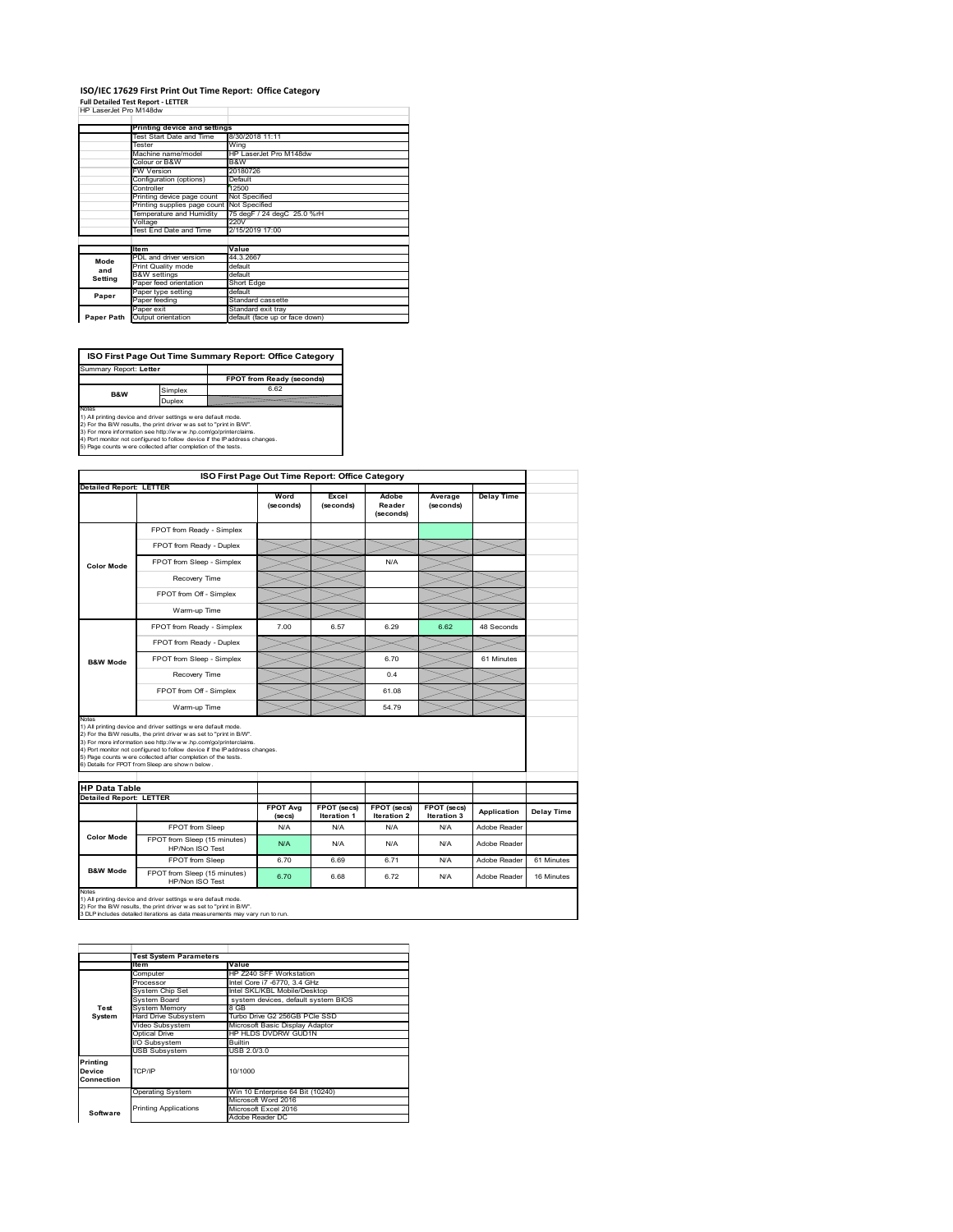## **ISO/IEC 17629 First Print Out Time Report: Office Category**

**Full Detailed Test Report ‐ LETTER** HP LaserJet Pro M148dw

| ,,, Lao Gio Giilo IVIITO GW |                              |                                |
|-----------------------------|------------------------------|--------------------------------|
|                             | Printing device and settings |                                |
|                             | Test Start Date and Time     | 8/30/2018 11:11                |
|                             | Tester                       | Wing                           |
|                             | Machine name/model           | HP LaserJet Pro M148dw         |
|                             | Colour or B&W                | B&W                            |
|                             | <b>FW Version</b>            | 20180726                       |
|                             | Configuration (options)      | Default                        |
|                             | Controller                   | 12500                          |
|                             | Printing device page count   | Not Specified                  |
|                             | Printing supplies page count | Not Specified                  |
|                             | Temperature and Humidity     | 75 degF / 24 degC 25.0 %rH     |
|                             | Voltage                      | 220V                           |
|                             | Test End Date and Time       | 2/15/2019 17:00                |
|                             |                              |                                |
|                             | <b>Item</b>                  | Value                          |
| Mode                        | PDL and driver version       | 44.3.2667                      |
| and                         | Print Quality mode           | default                        |
| Setting                     | <b>B&amp;W</b> settings      | default                        |
|                             | Paper feed orientation       | Short Edge                     |
| Paper                       | Paper type setting           | default                        |
|                             | Paper feeding                | Standard cassette              |
|                             | Paper exit                   | Standard exit tray             |
| Paper Path                  | Output orientation           | default (face up or face down) |

**ISO First Page Out Time Summary Report: Office Category** Summary Report: **Letter**

**FPOT from Ready (seconds)**<br>
Simplex 6.62 **B&W**

**Duplex**<br>Notes<br>1) All printing device and driver settings were default mode.<br>2) For the BM results, the print driver was set to "print in BM".<br>4) For more information see http://www.hp.com/golprinterclaims.<br>4) Port monitor

|                                                     | ISO First Page Out Time Report: Office Category                                                                                                                                                                                                                                                                                                                                                             |                            |                            |                              |                            |                   |            |
|-----------------------------------------------------|-------------------------------------------------------------------------------------------------------------------------------------------------------------------------------------------------------------------------------------------------------------------------------------------------------------------------------------------------------------------------------------------------------------|----------------------------|----------------------------|------------------------------|----------------------------|-------------------|------------|
| <b>Detailed Report: LETTER</b>                      |                                                                                                                                                                                                                                                                                                                                                                                                             |                            |                            |                              |                            |                   |            |
|                                                     |                                                                                                                                                                                                                                                                                                                                                                                                             | Word<br>(seconds)          | Excel<br>(seconds)         | Adobe<br>Reader<br>(seconds) | Average<br>(seconds)       | <b>Delay Time</b> |            |
|                                                     | FPOT from Ready - Simplex                                                                                                                                                                                                                                                                                                                                                                                   |                            |                            |                              |                            |                   |            |
|                                                     | FPOT from Ready - Duplex                                                                                                                                                                                                                                                                                                                                                                                    |                            |                            |                              |                            |                   |            |
| <b>Color Mode</b>                                   | FPOT from Sleep - Simplex                                                                                                                                                                                                                                                                                                                                                                                   |                            |                            | N/A                          |                            |                   |            |
|                                                     | Recovery Time                                                                                                                                                                                                                                                                                                                                                                                               |                            |                            |                              |                            |                   |            |
|                                                     | FPOT from Off - Simplex                                                                                                                                                                                                                                                                                                                                                                                     |                            |                            |                              |                            |                   |            |
|                                                     | Warm-up Time                                                                                                                                                                                                                                                                                                                                                                                                |                            |                            |                              |                            |                   |            |
|                                                     | FPOT from Ready - Simplex                                                                                                                                                                                                                                                                                                                                                                                   | 7.00                       | 6.57                       | 6.29                         | 6.62                       | 48 Seconds        |            |
|                                                     | FPOT from Ready - Duplex                                                                                                                                                                                                                                                                                                                                                                                    |                            |                            |                              |                            |                   |            |
| <b>B&amp;W Mode</b>                                 | FPOT from Sleep - Simplex                                                                                                                                                                                                                                                                                                                                                                                   |                            |                            | 6.70                         |                            | 61 Minutes        |            |
|                                                     | Recovery Time                                                                                                                                                                                                                                                                                                                                                                                               |                            |                            | 0.4                          |                            |                   |            |
|                                                     |                                                                                                                                                                                                                                                                                                                                                                                                             |                            |                            |                              |                            |                   |            |
|                                                     | FPOT from Off - Simplex                                                                                                                                                                                                                                                                                                                                                                                     |                            |                            | 61.08                        |                            |                   |            |
| Notes                                               | Warm-up Time                                                                                                                                                                                                                                                                                                                                                                                                |                            |                            | 54.79                        |                            |                   |            |
| <b>HP Data Table</b>                                | 1) All printing device and driver settings w ere default mode.<br>2) For the B/W results, the print driver was set to "print in B/W".<br>3) For more information see http://www.hp.com/go/printerclaims.<br>4) Port monitor not configured to follow device if the IP address changes.<br>5) Page counts w ere collected after completion of the tests.<br>6) Details for FPOT from Sleep are show n below. |                            |                            |                              |                            |                   |            |
|                                                     |                                                                                                                                                                                                                                                                                                                                                                                                             |                            |                            |                              |                            |                   |            |
|                                                     |                                                                                                                                                                                                                                                                                                                                                                                                             | <b>FPOT Avg</b><br>(se cs) | FPOT (secs)<br>Iteration 1 | FPOT (secs)<br>Iteration 2   | FPOT (secs)<br>Iteration 3 | Application       | Delay Time |
|                                                     | FPOT from Sleep                                                                                                                                                                                                                                                                                                                                                                                             | N/A                        | N/A                        | N/A                          | N/A                        | Adobe Reader      |            |
| <b>Detailed Report: LETTER</b><br><b>Color Mode</b> | FPOT from Sleep (15 minutes)<br>HP/Non ISO Test                                                                                                                                                                                                                                                                                                                                                             | N/A                        | N/A                        | N/A                          | N/A                        | Adobe Reader      |            |
| <b>B&amp;W Mode</b>                                 | FPOT from Sleep                                                                                                                                                                                                                                                                                                                                                                                             | 6.70                       | 6.69                       | 6.71                         | N/A                        | Adobe Reader      | 61 Minutes |

**Item Value** Computer HP Z240 SFF Workstation Processor Intel Core i7 -6770, 3.4 GHz System Chip Set Intel SKL/KBL Mobile/Desktop System Board system devices, default system BIOS Fossen<br>System Chip Set<br>System Memory<br>Hard Drive Subsystem<br>Hideo Subsystem Hard Drive Subsystem Turbo Drive G2 256GB PCIe SSD Video Subsystem Microsoft Basic Display Adaptor Optical Drive HP HLDS DVDRW GUD1N Subsystem Builtin USB Subsystem USB 2.0/3.0 Operating System Win 10 Enterprise 64 Bit (10240) Microsoft Word 2016 Microsoft Excel 2016 Adobe Reader DC **Printing Device Connection** TCP/IP 10/1000 **Software** Printing Applications **Test System Test System Para**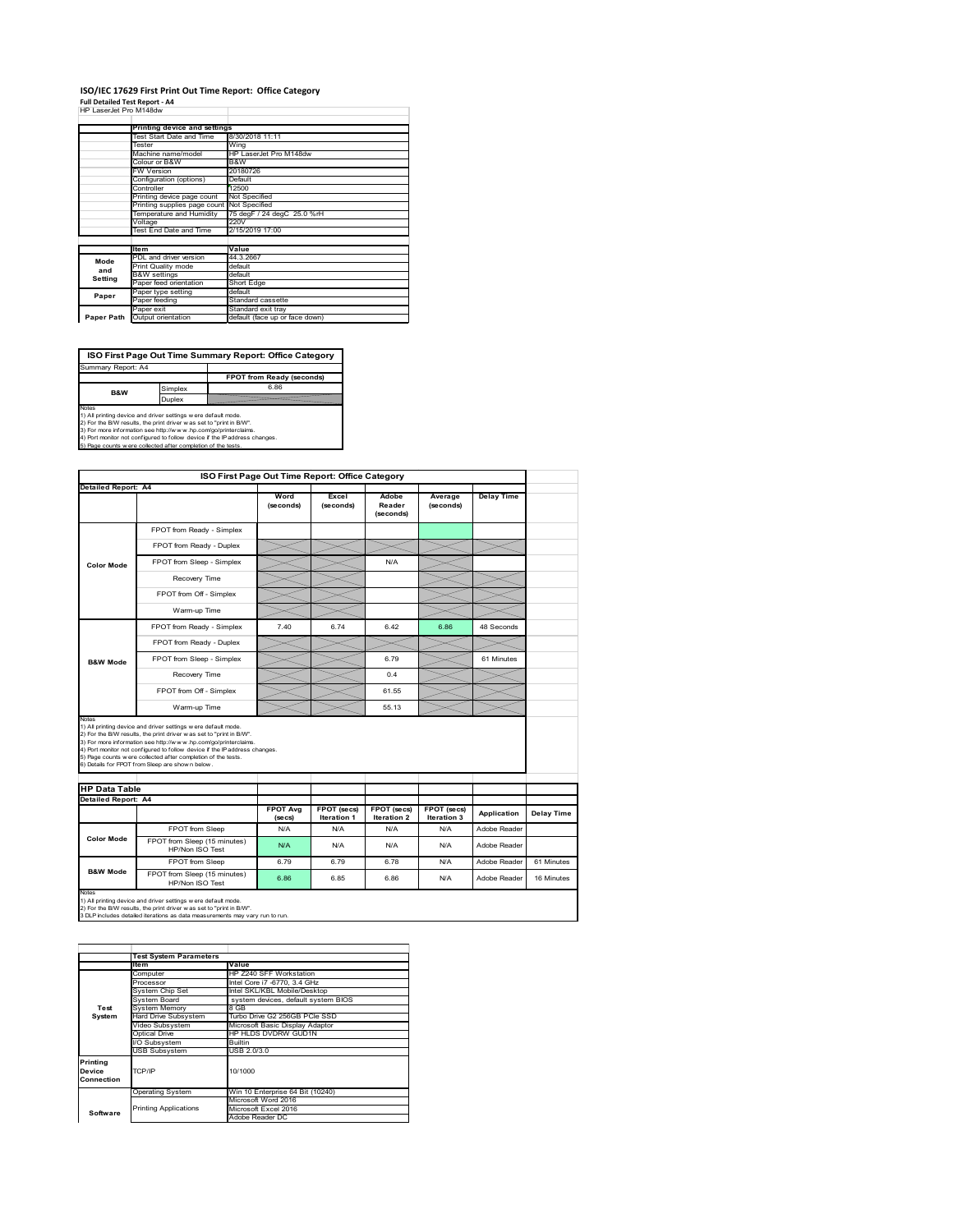## **ISO/IEC 17629 First Print Out Time Report: Office Category**

| <b>Full Detailed Test Report - A4</b> |  |
|---------------------------------------|--|
| HP LaserJet Pro M148dw                |  |

| FF 1.4556.561 FBJ IVI 1468.1W |                                            |                                |
|-------------------------------|--------------------------------------------|--------------------------------|
|                               |                                            |                                |
|                               | Printing device and settings               |                                |
|                               | Test Start Date and Time                   | 8/30/2018 11:11                |
|                               | Tester                                     | Wing                           |
|                               | Machine name/model                         | HP LaserJet Pro M148dw         |
| Colour or B&W                 |                                            | B&W                            |
|                               | <b>FW Version</b>                          | 20180726                       |
|                               | Configuration (options)                    | Default                        |
|                               | Controller                                 | 12500                          |
|                               | Printing device page count                 | Not Specified                  |
|                               | Printing supplies page count Not Specified |                                |
|                               | Temperature and Humidity                   | 75 degF / 24 degC 25.0 %rH     |
|                               | Voltage                                    | 220V                           |
|                               | Test End Date and Time                     | 2/15/2019 17:00                |
|                               |                                            |                                |
|                               | <b>Item</b>                                | Value                          |
| Mode                          | PDL and driver version                     | 44.3.2667                      |
| and                           | Print Quality mode                         | default                        |
|                               | <b>B&amp;W</b> settings                    | default                        |
| Setting                       | Paper feed orientation                     | Short Edge                     |
| Paper                         | Paper type setting                         | default                        |
|                               | Paper feeding                              | Standard cassette              |
|                               | Paper exit                                 | Standard exit tray             |
| Paper Path                    | Output orientation                         | default (face up or face down) |

**ISO First Page Out Time Summary Report: Office Category**

**FPOT from Ready (seconds)** Simplex 6.86 Duplex Notes<br>1) All printing device and driver settings were default mode.<br>2) For the BAV results, the print driver was set to "print in BAV".<br>3) For more information see http://www.hp.com/golprinterclaims.<br>4) Port monitor not co Summary Report: A4 **B&W**

|                                                             |                                                                                                                                                                                                                                                                                                                                                                                                             | ISO First Page Out Time Report: Office Category |                                   |                                   |                                   |                   |            |
|-------------------------------------------------------------|-------------------------------------------------------------------------------------------------------------------------------------------------------------------------------------------------------------------------------------------------------------------------------------------------------------------------------------------------------------------------------------------------------------|-------------------------------------------------|-----------------------------------|-----------------------------------|-----------------------------------|-------------------|------------|
| <b>Detailed Report: A4</b>                                  |                                                                                                                                                                                                                                                                                                                                                                                                             | Word<br>(seconds)                               | Excel<br>(seconds)                | Adobe<br>Reader<br>(seconds)      | Average<br>(seconds)              | <b>Delay Time</b> |            |
|                                                             | FPOT from Ready - Simplex                                                                                                                                                                                                                                                                                                                                                                                   |                                                 |                                   |                                   |                                   |                   |            |
|                                                             | FPOT from Ready - Duplex                                                                                                                                                                                                                                                                                                                                                                                    |                                                 |                                   |                                   |                                   |                   |            |
| <b>Color Mode</b>                                           | FPOT from Sleep - Simplex                                                                                                                                                                                                                                                                                                                                                                                   |                                                 |                                   | N/A                               |                                   |                   |            |
|                                                             | Recovery Time                                                                                                                                                                                                                                                                                                                                                                                               |                                                 |                                   |                                   |                                   |                   |            |
|                                                             | FPOT from Off - Simplex                                                                                                                                                                                                                                                                                                                                                                                     |                                                 |                                   |                                   |                                   |                   |            |
|                                                             | Warm-up Time                                                                                                                                                                                                                                                                                                                                                                                                |                                                 |                                   |                                   |                                   |                   |            |
|                                                             | FPOT from Ready - Simplex                                                                                                                                                                                                                                                                                                                                                                                   | 740                                             | 674                               | 642                               | 6.86                              | 48 Seconds        |            |
|                                                             | FPOT from Ready - Duplex                                                                                                                                                                                                                                                                                                                                                                                    |                                                 |                                   |                                   |                                   |                   |            |
| <b>B&amp;W Mode</b>                                         | FPOT from Sleep - Simplex                                                                                                                                                                                                                                                                                                                                                                                   |                                                 |                                   | 6.79                              |                                   | 61 Minutes        |            |
|                                                             | Recovery Time                                                                                                                                                                                                                                                                                                                                                                                               |                                                 |                                   | 0.4                               |                                   |                   |            |
|                                                             |                                                                                                                                                                                                                                                                                                                                                                                                             |                                                 |                                   |                                   |                                   |                   |            |
|                                                             | FPOT from Off - Simplex                                                                                                                                                                                                                                                                                                                                                                                     |                                                 |                                   | 61.55                             |                                   |                   |            |
|                                                             | Warm-up Time                                                                                                                                                                                                                                                                                                                                                                                                |                                                 |                                   | 55 13                             |                                   |                   |            |
| Notes<br><b>HP Data Table</b><br><b>Detailed Report: A4</b> | 1) All printing device and driver settings w ere default mode.<br>2) For the B/W results, the print driver was set to "print in B/W".<br>3) For more information see http://www.hp.com/go/printerclaims.<br>4) Port monitor not configured to follow device if the IP address changes.<br>5) Page counts w ere collected after completion of the tests.<br>6) Details for FPOT from Sleep are show n below. | <b>FPOT Avg</b><br>(se cs)                      | FPOT (secs)<br><b>Iteration 1</b> | FPOT (secs)<br><b>Iteration 2</b> | FPOT (secs)<br><b>Iteration 3</b> | Application       |            |
|                                                             | FPOT from Sleep                                                                                                                                                                                                                                                                                                                                                                                             | N/A                                             | N/A                               | N/A                               | N/A                               | Adobe Reader      | Delay Time |
| <b>Color Mode</b>                                           | FPOT from Sleep (15 minutes)<br>HP/Non ISO Test                                                                                                                                                                                                                                                                                                                                                             | N/A                                             | N/A                               | N/A                               | N/A                               | Adobe Reader      |            |
| <b>B&amp;W Mode</b>                                         | FPOT from Sleep                                                                                                                                                                                                                                                                                                                                                                                             | 6.79                                            | 6.79                              | 6.78                              | N/A                               | Adobe Reader      | 61 Minutes |

|                                  | <b>Test System Parameters</b> |                                     |
|----------------------------------|-------------------------------|-------------------------------------|
|                                  | <b>Item</b>                   | Value                               |
|                                  | Computer                      | HP Z240 SFF Workstation             |
|                                  | Processor                     | Intel Core i7 -6770, 3.4 GHz        |
|                                  | System Chip Set               | Intel SKL/KBL Mobile/Desktop        |
|                                  | System Board                  | system devices, default system BIOS |
| Test                             | <b>System Memory</b>          | 8 GB                                |
| System                           | <b>Hard Drive Subsystem</b>   | Turbo Drive G2 256GB PCle SSD       |
|                                  | Video Subsystem               | Microsoft Basic Display Adaptor     |
|                                  | <b>Optical Drive</b>          | HP HLDS DVDRW GUD1N                 |
|                                  | I/O Subsystem                 | <b>Builtin</b>                      |
|                                  | <b>USB Subsystem</b>          | USB 2.0/3.0                         |
| Printing<br>Device<br>Connection | TCP/IP                        | 10/1000                             |
|                                  | <b>Operating System</b>       | Win 10 Enterprise 64 Bit (10240)    |
|                                  |                               | Microsoft Word 2016                 |
| Software                         | <b>Printing Applications</b>  | Microsoft Excel 2016                |
|                                  |                               | Adobe Reader DC                     |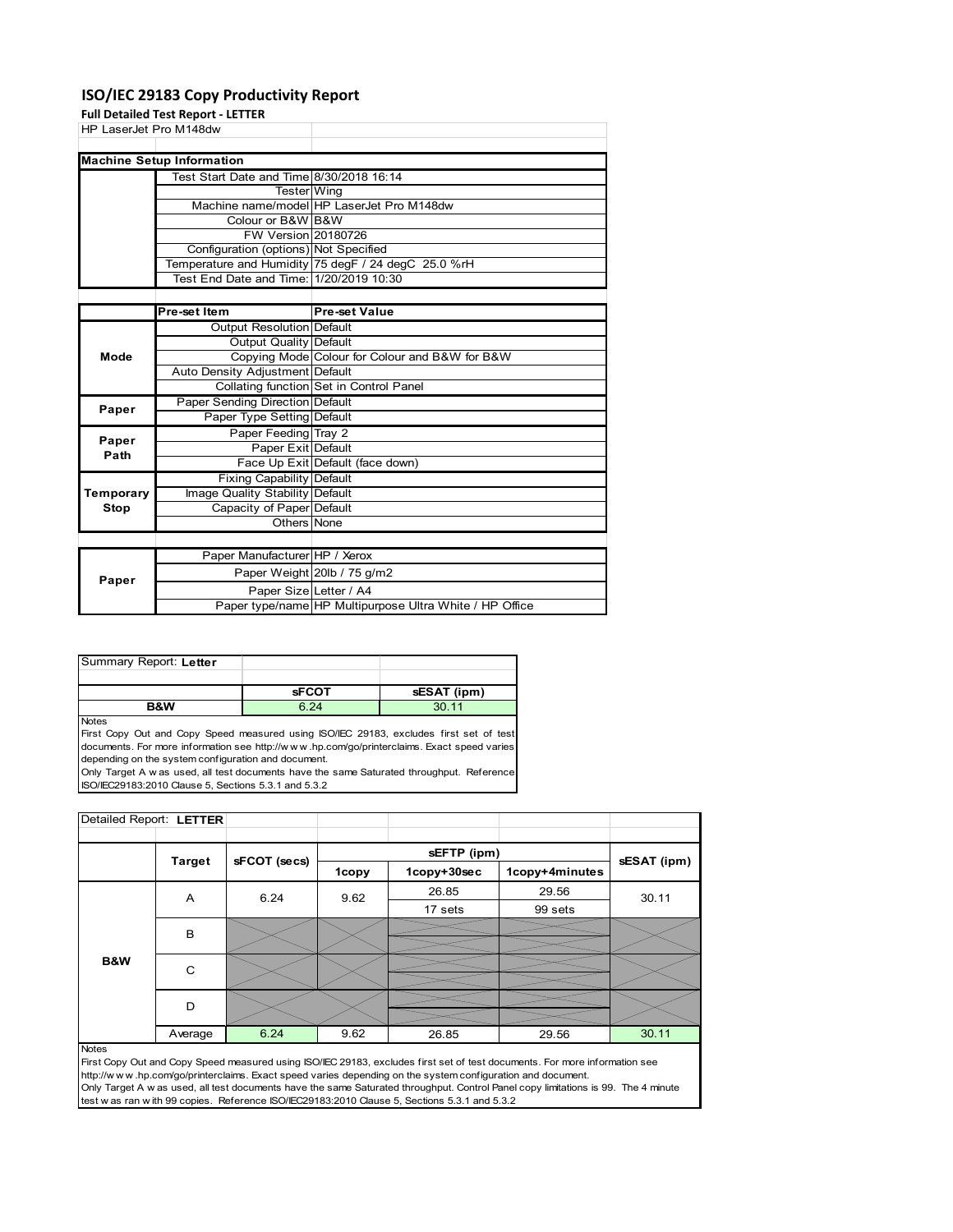### **ISO/IEC 29183 Copy Productivity Report**

**Full Detailed Test Report ‐ LETTER**

| HP LaserJet Pro M148dw |                                          |                                                     |
|------------------------|------------------------------------------|-----------------------------------------------------|
|                        |                                          |                                                     |
|                        | <b>Machine Setup Information</b>         |                                                     |
|                        | Test Start Date and Time 8/30/2018 16:14 |                                                     |
|                        | <b>Tester</b> Wing                       |                                                     |
|                        |                                          | Machine name/model HP LaserJet Pro M148dw           |
|                        | Colour or B&W B&W                        |                                                     |
|                        | <b>FW Version 20180726</b>               |                                                     |
|                        | Configuration (options) Not Specified    |                                                     |
|                        |                                          | Temperature and Humidity 75 degF / 24 degC 25.0 %rH |
|                        | Test End Date and Time: 1/20/2019 10:30  |                                                     |
|                        |                                          |                                                     |
|                        | Pre-set Item                             | <b>Pre-set Value</b>                                |
|                        | <b>Output Resolution Default</b>         |                                                     |
|                        | Output Quality Default                   |                                                     |
| Mode                   |                                          | Copying Mode Colour for Colour and B&W for B&W      |
|                        | Auto Density Adjustment Default          |                                                     |
|                        |                                          | Collating function Set in Control Panel             |
| Paper                  | Paper Sending Direction Default          |                                                     |
|                        | Paper Type Setting Default               |                                                     |
| Paper                  | Paper Feeding Tray 2                     |                                                     |
| Path                   | Paper Exit Default                       |                                                     |
|                        |                                          | Face Up Exit Default (face down)                    |
|                        | Fixing Capability Default                |                                                     |
| Temporary              | Image Quality Stability Default          |                                                     |
| Stop                   | Capacity of Paper Default                |                                                     |
|                        | Others None                              |                                                     |
|                        |                                          |                                                     |
|                        | Paper Manufacturer HP / Xerox            |                                                     |
| Paper                  |                                          | Paper Weight 20lb / 75 g/m2                         |
|                        | Paper Size Letter / A4                   |                                                     |

| Summary Report: Letter |              |             |
|------------------------|--------------|-------------|
|                        |              |             |
|                        | <b>SFCOT</b> | sESAT (ipm) |
| <b>B&amp;W</b>         | 6.24         | 3011        |

Notes

First Copy Out and Copy Speed measured using ISO/IEC 29183, excludes first set of test documents. For more information see http://w w w .hp.com/go/printerclaims. Exact speed varies depending on the system configuration and document.

Only Target A w as used, all test documents have the same Saturated throughput. Reference ISO/IEC29183:2010 Clause 5, Sections 5.3.1 and 5.3.2

| Detailed Report: LETTER |               |              |       |             |                |             |
|-------------------------|---------------|--------------|-------|-------------|----------------|-------------|
|                         |               |              |       |             |                |             |
|                         | <b>Target</b> | sFCOT (secs) |       | sEFTP (ipm) |                | sESAT (ipm) |
|                         |               |              | 1copy | 1copy+30sec | 1copy+4minutes |             |
|                         | A             | 6.24         | 9.62  | 26.85       | 29.56          | 30.11       |
|                         |               |              |       | 17 sets     | 99 sets        |             |
|                         | B             |              |       |             |                |             |
|                         |               |              |       |             |                |             |
| B&W                     | C             |              |       |             |                |             |
|                         |               |              |       |             |                |             |
|                         | D             |              |       |             |                |             |
|                         |               |              |       |             |                |             |
|                         | Average       | 6.24         | 9.62  | 26.85       | 29.56          | 30.11       |

Paper type/name HP Multipurpose Ultra White / HP Office

Notes

First Copy Out and Copy Speed measured using ISO/IEC 29183, excludes first set of test documents. For more information see http://w w w .hp.com/go/printerclaims. Exact speed varies depending on the system configuration and document. Only Target A w as used, all test documents have the same Saturated throughput. Control Panel copy limitations is 99. The 4 minute test w as ran w ith 99 copies. Reference ISO/IEC29183:2010 Clause 5, Sections 5.3.1 and 5.3.2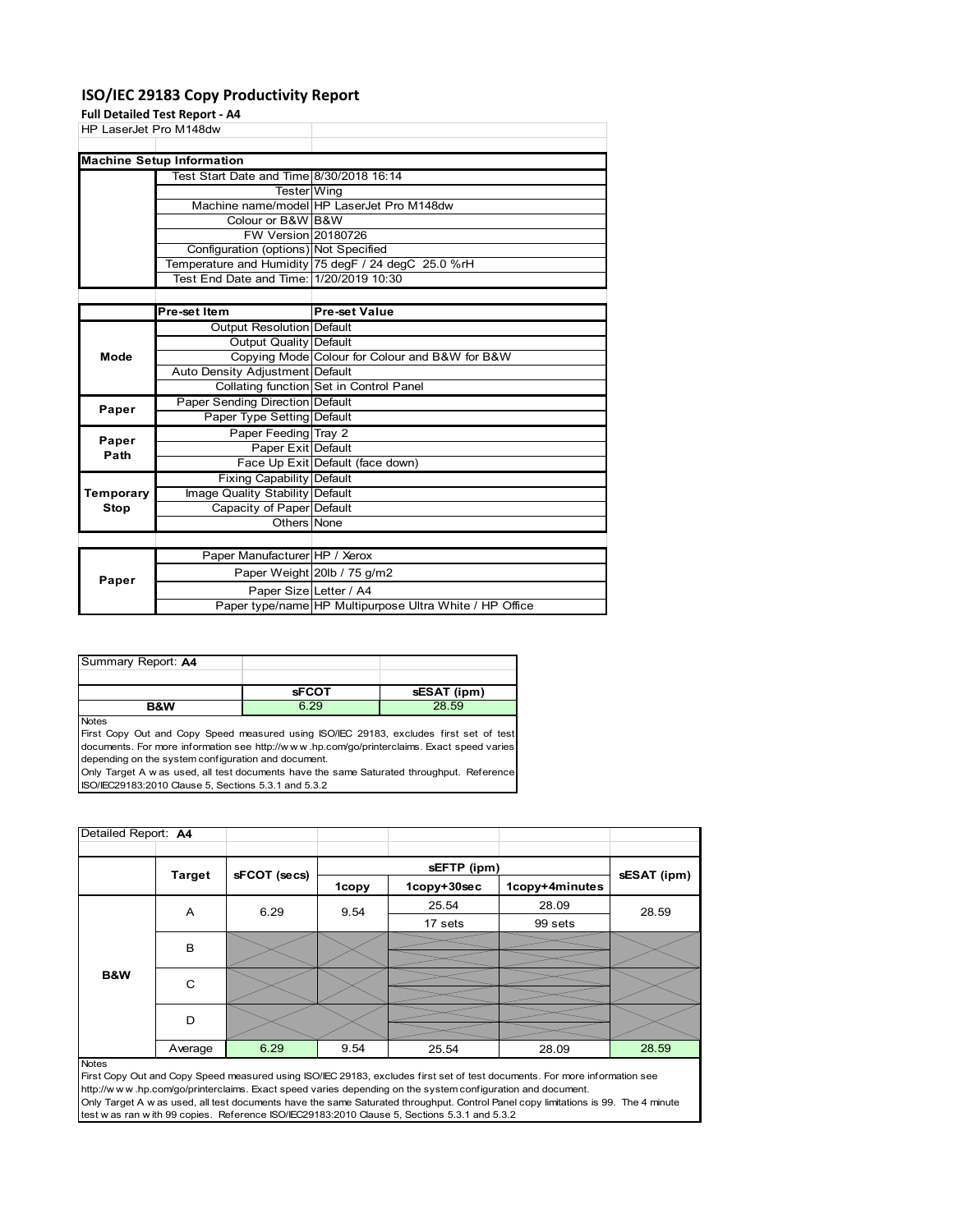### **ISO/IEC 29183 Copy Productivity Report**

**Full Detailed Test Report ‐ A4**

|                        | run betanea Test Report - A+             |                                                     |
|------------------------|------------------------------------------|-----------------------------------------------------|
| HP LaserJet Pro M148dw |                                          |                                                     |
|                        |                                          |                                                     |
|                        | <b>Machine Setup Information</b>         |                                                     |
|                        | Test Start Date and Time 8/30/2018 16:14 |                                                     |
|                        | Tester Wing                              |                                                     |
|                        |                                          | Machine name/model HP LaserJet Pro M148dw           |
|                        | Colour or B&W B&W                        |                                                     |
|                        | <b>FW Version 20180726</b>               |                                                     |
|                        | Configuration (options) Not Specified    |                                                     |
|                        |                                          | Temperature and Humidity 75 degF / 24 degC 25.0 %rH |
|                        | Test End Date and Time: 1/20/2019 10:30  |                                                     |
|                        |                                          |                                                     |
|                        | Pre-set Item                             | <b>Pre-set Value</b>                                |
|                        | Output Resolution Default                |                                                     |
|                        | Output Quality Default                   |                                                     |
| Mode                   |                                          | Copying Mode Colour for Colour and B&W for B&W      |
|                        | Auto Density Adjustment Default          |                                                     |
|                        |                                          | Collating function Set in Control Panel             |
| Paper                  | <b>Paper Sending Direction Default</b>   |                                                     |
|                        | Paper Type Setting Default               |                                                     |
|                        | Paper Feeding Tray 2                     |                                                     |
| Paper<br>Path          | Paper Exit Default                       |                                                     |
|                        |                                          | Face Up Exit Default (face down)                    |
|                        | Fixing Capability Default                |                                                     |
| Temporary              | Image Quality Stability Default          |                                                     |
| Stop                   | Capacity of Paper Default                |                                                     |
|                        | Others None                              |                                                     |
|                        |                                          |                                                     |
|                        | Paper Manufacturer HP / Xerox            |                                                     |
| Paper                  |                                          | Paper Weight 20lb / 75 g/m2                         |
|                        | Paper Size Letter / A4                   |                                                     |

| Summary Report: A4 |              |             |
|--------------------|--------------|-------------|
|                    |              |             |
|                    | <b>sFCOT</b> | sESAT (ipm) |
|                    |              |             |

**Notes** 

First Copy Out and Copy Speed measured using ISO/IEC 29183, excludes first set of test documents. For more information see http://w w w .hp.com/go/printerclaims. Exact speed varies depending on the system configuration and document.

Only Target A w as used, all test documents have the same Saturated throughput. Reference ISO/IEC29183:2010 Clause 5, Sections 5.3.1 and 5.3.2

| Detailed Report: A4 |               |              |       |             |                |             |
|---------------------|---------------|--------------|-------|-------------|----------------|-------------|
|                     |               |              |       | sEFTP (ipm) |                |             |
|                     | <b>Target</b> | sFCOT (secs) | 1copy | 1copy+30sec | 1copy+4minutes | sESAT (ipm) |
|                     | A             | 6.29         | 9.54  | 25.54       | 28.09          | 28.59       |
|                     |               |              |       | 17 sets     | 99 sets        |             |
|                     | B             |              |       |             |                |             |
|                     |               |              |       |             |                |             |
| B&W                 | C             |              |       |             |                |             |
|                     |               |              |       |             |                |             |
|                     | D             |              |       |             |                |             |
|                     |               |              |       |             |                |             |
| $N = 4 - 4$         | Average       | 6.29         | 9.54  | 25.54       | 28.09          | 28.59       |

Paper type/name HP Multipurpose Ultra White / HP Office

Notes

First Copy Out and Copy Speed measured using ISO/IEC 29183, excludes first set of test documents. For more information see http://w w w .hp.com/go/printerclaims. Exact speed varies depending on the system configuration and document. Only Target A w as used, all test documents have the same Saturated throughput. Control Panel copy limitations is 99. The 4 minute test w as ran w ith 99 copies. Reference ISO/IEC29183:2010 Clause 5, Sections 5.3.1 and 5.3.2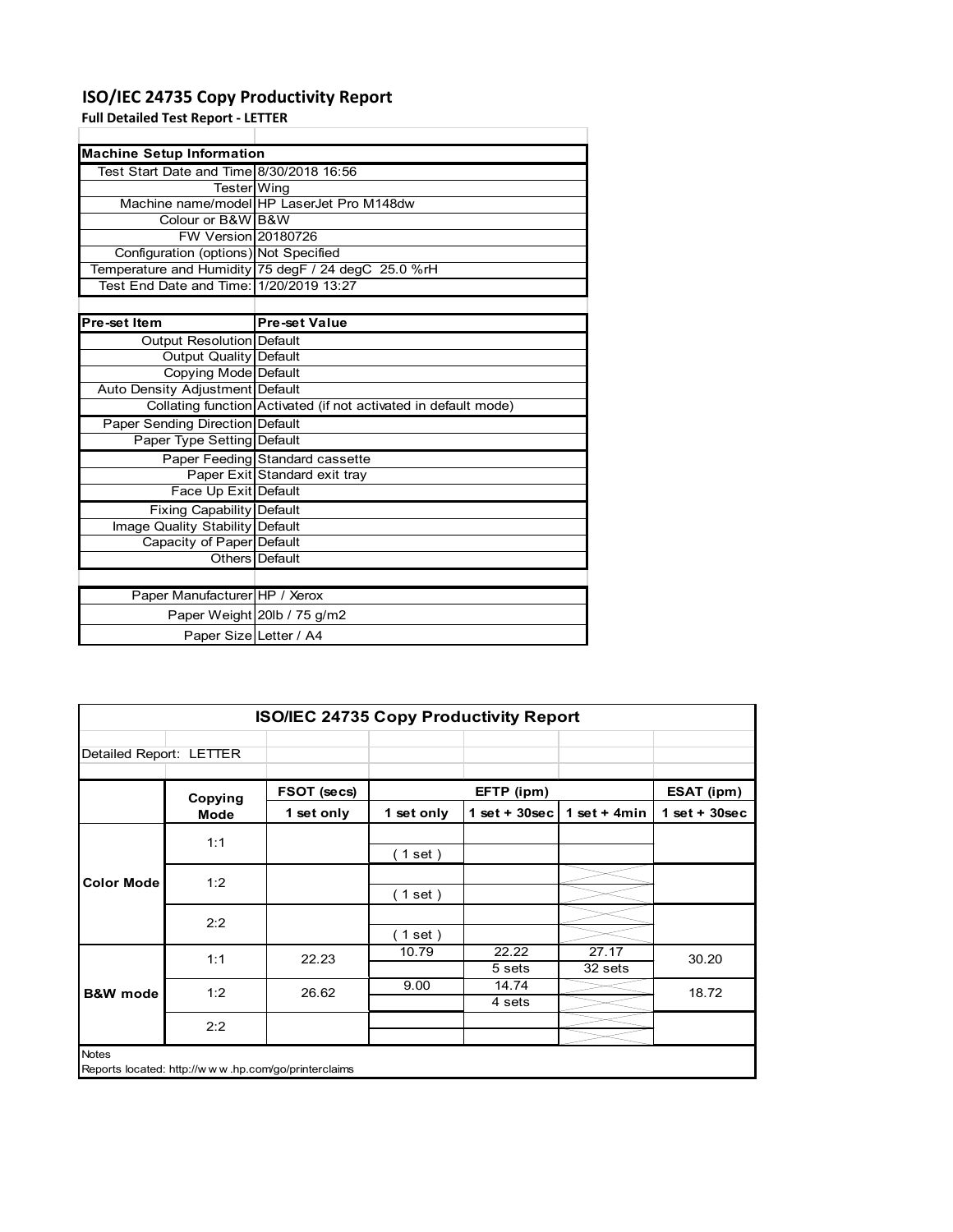### **ISO/IEC 24735 Copy Productivity Report**

**Full Detailed Test Report ‐ LETTER**

| <b>Machine Setup Information</b>         |                                                                 |
|------------------------------------------|-----------------------------------------------------------------|
| Test Start Date and Time 8/30/2018 16:56 |                                                                 |
| Tester Wing                              |                                                                 |
|                                          | Machine name/model HP LaserJet Pro M148dw                       |
| Colour or B&W B&W                        |                                                                 |
| FW Version 20180726                      |                                                                 |
| Configuration (options) Not Specified    |                                                                 |
|                                          | Temperature and Humidity 75 degF / 24 degC 25.0 %rH             |
| Test End Date and Time: 1/20/2019 13:27  |                                                                 |
|                                          |                                                                 |
| Pre-set Item                             | <b>Pre-set Value</b>                                            |
| <b>Output Resolution Default</b>         |                                                                 |
| <b>Output Quality Default</b>            |                                                                 |
| Copying Mode Default                     |                                                                 |
| Auto Density Adjustment Default          |                                                                 |
|                                          | Collating function Activated (if not activated in default mode) |
| Paper Sending Direction Default          |                                                                 |
| Paper Type Setting Default               |                                                                 |
|                                          | Paper Feeding Standard cassette                                 |
|                                          | Paper Exit Standard exit tray                                   |
| Face Up Exit Default                     |                                                                 |
| Fixing Capability Default                |                                                                 |
| Image Quality Stability Default          |                                                                 |
| Capacity of Paper Default                |                                                                 |
|                                          | Others Default                                                  |
|                                          |                                                                 |
| Paper Manufacturer HP / Xerox            |                                                                 |
|                                          | Paper Weight 20lb / 75 g/m2                                     |
| Paper Size Letter / A4                   |                                                                 |

|                         | <b>ISO/IEC 24735 Copy Productivity Report</b> |                                                     |            |                  |                  |                 |
|-------------------------|-----------------------------------------------|-----------------------------------------------------|------------|------------------|------------------|-----------------|
| Detailed Report: LETTER |                                               |                                                     |            |                  |                  |                 |
|                         | Copying                                       | FSOT (secs)                                         |            | EFTP (ipm)       |                  | ESAT (ipm)      |
|                         | <b>Mode</b>                                   | 1 set only                                          | 1 set only | 1 set + $30$ sec | 1 set + $4min$   | $1$ set + 30sec |
|                         | 1:1                                           |                                                     | (1 set)    |                  |                  |                 |
| <b>Color Mode</b>       | 1:2                                           |                                                     | (1 set)    |                  |                  |                 |
|                         | 2:2                                           |                                                     | (1 set)    |                  |                  |                 |
|                         | 1:1                                           | 22.23                                               | 10.79      | 22.22<br>5 sets  | 27.17<br>32 sets | 30.20           |
| <b>B&amp;W</b> mode     | 1:2                                           | 26.62                                               | 9.00       | 14.74<br>4 sets  |                  | 18.72           |
|                         | 2:2                                           |                                                     |            |                  |                  |                 |
| <b>Notes</b>            |                                               | Reports located: http://www.hp.com/go/printerclaims |            |                  |                  |                 |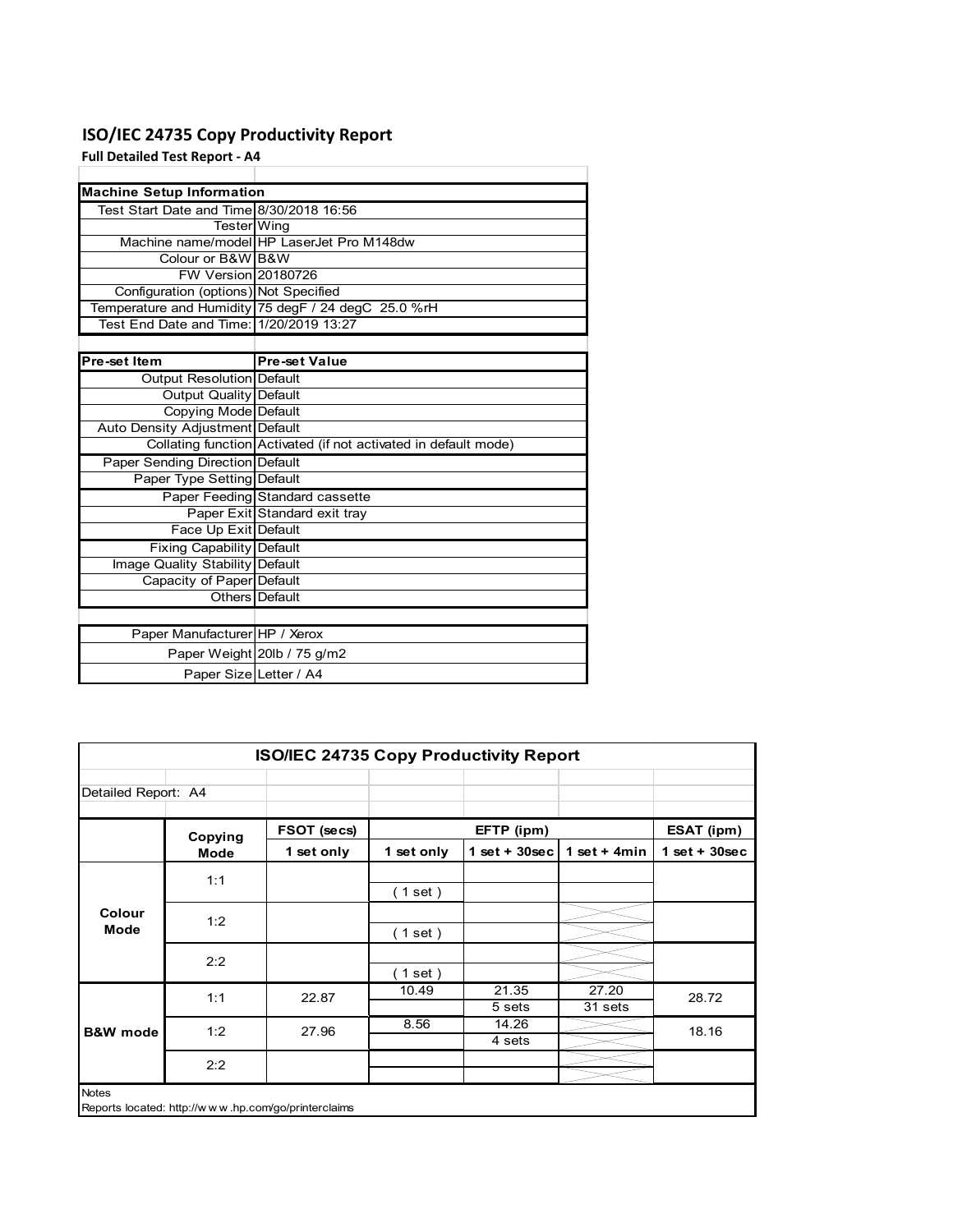## **ISO/IEC 24735 Copy Productivity Report**

**Full Detailed Test Report ‐ A4**

| <b>Machine Setup Information</b>         |                                                                 |
|------------------------------------------|-----------------------------------------------------------------|
| Test Start Date and Time 8/30/2018 16:56 |                                                                 |
| Tester Wing                              |                                                                 |
|                                          | Machine name/model HP LaserJet Pro M148dw                       |
| Colour or B&W B&W                        |                                                                 |
| FW Version 20180726                      |                                                                 |
| Configuration (options) Not Specified    |                                                                 |
|                                          | Temperature and Humidity 75 degF / 24 degC 25.0 %rH             |
|                                          |                                                                 |
|                                          |                                                                 |
| Pre-set Item                             | <b>Pre-set Value</b>                                            |
| Output Resolution Default                |                                                                 |
| Output Quality Default                   |                                                                 |
| Copying Mode Default                     |                                                                 |
| Auto Density Adjustment Default          |                                                                 |
|                                          | Collating function Activated (if not activated in default mode) |
| <b>Paper Sending Direction Default</b>   |                                                                 |
| Paper Type Setting Default               |                                                                 |
|                                          | Paper Feeding Standard cassette                                 |
|                                          | Paper Exit Standard exit tray                                   |
| Face Up Exit Default                     |                                                                 |
| <b>Fixing Capability Default</b>         |                                                                 |
| Image Quality Stability Default          |                                                                 |
| Capacity of Paper Default                |                                                                 |
|                                          | Others Default                                                  |
|                                          |                                                                 |
| Paper Manufacturer HP / Xerox            |                                                                 |
|                                          | Paper Weight 20lb / 75 g/m2                                     |
| Paper Size Letter / A4                   |                                                                 |

| Detailed Report: A4   |             |             |            |                  |                  |                 |
|-----------------------|-------------|-------------|------------|------------------|------------------|-----------------|
|                       | Copying     | FSOT (secs) |            | EFTP (ipm)       |                  | ESAT (ipm)      |
|                       | <b>Mode</b> | 1 set only  | 1 set only | 1 set + $30$ sec | 1 set + 4 $min$  | $1$ set + 30sec |
|                       | 1:1         |             | (1 set)    |                  |                  |                 |
| Colour<br><b>Mode</b> | 1:2         |             | (1 set)    |                  |                  |                 |
|                       | 2:2         |             | (1 set)    |                  |                  |                 |
|                       | 1:1         | 22.87       | 10.49      | 21.35<br>5 sets  | 27.20<br>31 sets | 28.72           |
| <b>B&amp;W</b> mode   | 1:2         | 27.96       | 8.56       | 14.26<br>4 sets  |                  | 18.16           |
|                       | 2:2         |             |            |                  |                  |                 |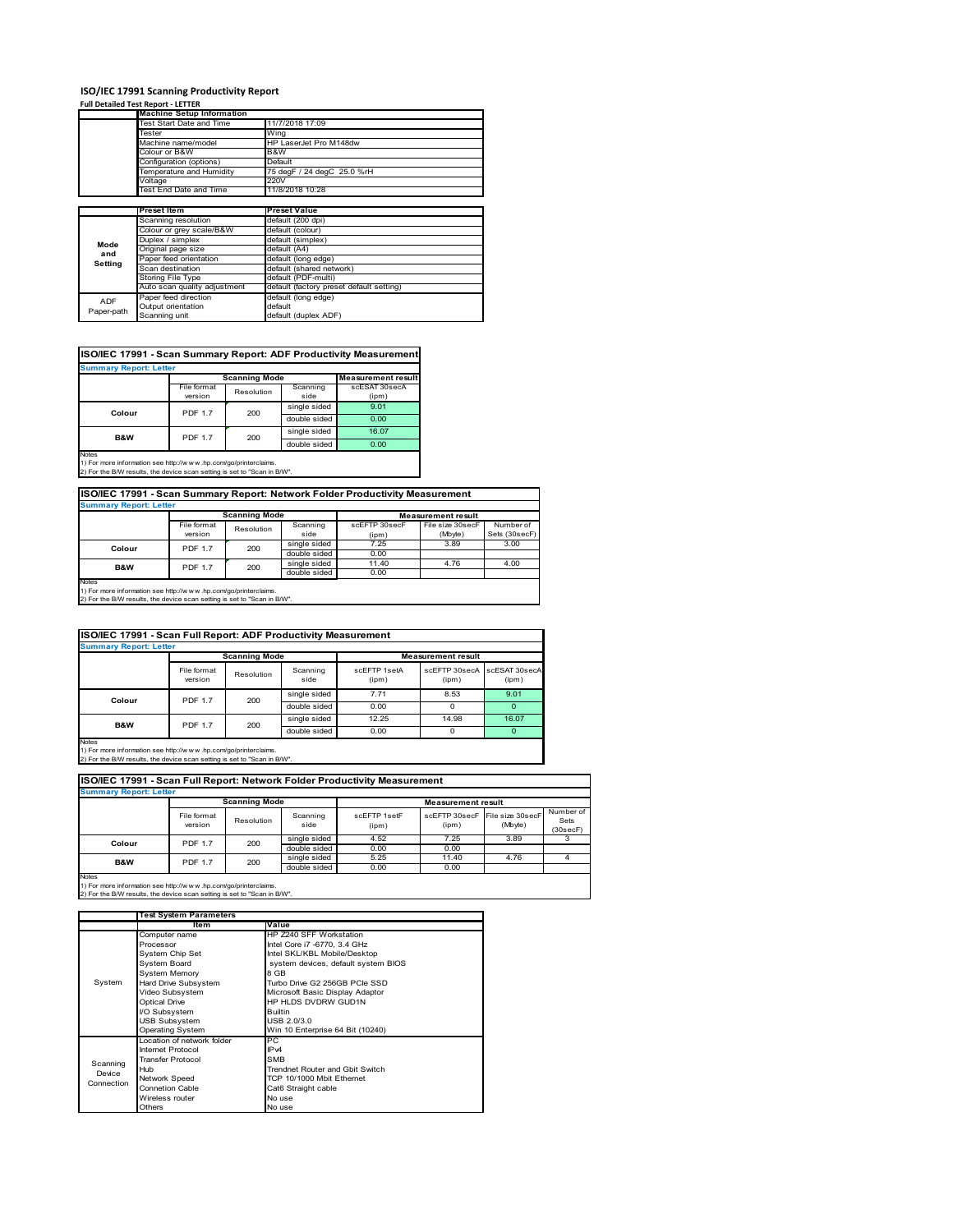### **ISO/IEC 17991 Scanning Productivity Report**

### **Full Detailed Test Report ‐ LETTER**

|            | <b>Machine Setup Information</b> |                                          |  |  |
|------------|----------------------------------|------------------------------------------|--|--|
|            | Test Start Date and Time         | 11/7/2018 17:09                          |  |  |
|            | Tester                           | Wing                                     |  |  |
|            | Machine name/model               | HP LaserJet Pro M148dw                   |  |  |
|            | Colour or B&W                    | B&W                                      |  |  |
|            | Configuration (options)          | Default                                  |  |  |
|            | Temperature and Humidity         | 75 degF / 24 degC 25.0 %rH               |  |  |
|            | Voltage                          | 220V                                     |  |  |
|            | Test End Date and Time           | 11/8/2018 10:28                          |  |  |
|            |                                  |                                          |  |  |
|            | <b>Preset Item</b>               | <b>Preset Value</b>                      |  |  |
|            | Scanning resolution              | default (200 dpi)                        |  |  |
|            | Colour or grey scale/B&W         | default (colour)                         |  |  |
| Mode       | Duplex / simplex                 | default (simplex)                        |  |  |
| and        | Original page size               | default (A4)                             |  |  |
| Setting    | Paper feed orientation           | default (long edge)                      |  |  |
|            | Scan destination                 | default (shared network)                 |  |  |
|            | Storing File Type                | default (PDF-multi)                      |  |  |
|            | Auto scan quality adjustment     | default (factory preset default setting) |  |  |
| <b>ADF</b> | Paper feed direction             | default (long edge)                      |  |  |
|            | Output orientation               | default                                  |  |  |
| Paper-path | Scanning unit                    | default (duplex ADF)                     |  |  |

### **ISO/IEC 17991 - Scan Summary Report: ADF Productivity Measurement**

| <b>Summary Report: Letter</b>                                                                   |                |                      |              |                           |  |  |  |  |
|-------------------------------------------------------------------------------------------------|----------------|----------------------|--------------|---------------------------|--|--|--|--|
|                                                                                                 |                | <b>Scanning Mode</b> |              | <b>Measurement result</b> |  |  |  |  |
|                                                                                                 | File format    | Resolution           |              | scESAT 30secA             |  |  |  |  |
|                                                                                                 | version        |                      | side         | (ipm)                     |  |  |  |  |
| Colour                                                                                          | <b>PDF 1.7</b> | 200                  | single sided | 9.01                      |  |  |  |  |
|                                                                                                 |                |                      | double sided | 0.00                      |  |  |  |  |
| <b>B&amp;W</b>                                                                                  | <b>PDF 1.7</b> | 200                  | single sided | 16.07                     |  |  |  |  |
|                                                                                                 |                |                      | double sided | 0.00                      |  |  |  |  |
| <b>Notes</b><br>45 For access to former than a such than (from contract and an industrial basic |                |                      |              |                           |  |  |  |  |

1) For more information see http://w w w .hp.com/go/printerclaims. 2) For the B/W results, the device scan setting is set to "Scan in B/W".

### **ISO/IEC 17991 - Scan Summary Report: Network Folder Productivity Measurement**

| <b>Summary Report: Letter</b>                                                                                                                        |                        | <b>Scanning Mode</b> |                              | <b>Measurement result</b> |                             |                            |  |  |
|------------------------------------------------------------------------------------------------------------------------------------------------------|------------------------|----------------------|------------------------------|---------------------------|-----------------------------|----------------------------|--|--|
|                                                                                                                                                      | File format<br>version | Resolution           | Scanning<br>side             | scEFTP 30secF<br>(ipm)    | File size 30secF<br>(Mbyte) | Number of<br>Sets (30secF) |  |  |
| Colour                                                                                                                                               | <b>PDF 1.7</b>         | 200                  | single sided<br>double sided | 7.25<br>0.00              | 3.89                        | 3.00                       |  |  |
| B&W                                                                                                                                                  | <b>PDF 1.7</b>         | 200                  | single sided<br>double sided | 11.40<br>0.00             | 4.76                        | 4.00                       |  |  |
| Notes<br>1) For more information see http://www.hp.com/go/printerclaims.<br>2) For the B/W results, the device scan setting is set to "Scan in B/W". |                        |                      |                              |                           |                             |                            |  |  |

| ISO/IEC 17991 - Scan Full Report: ADF Productivity Measurement |                        |              |                  |                           |                        |                        |  |  |  |  |
|----------------------------------------------------------------|------------------------|--------------|------------------|---------------------------|------------------------|------------------------|--|--|--|--|
| <b>Summary Report: Letter</b>                                  |                        |              |                  |                           |                        |                        |  |  |  |  |
|                                                                | <b>Scanning Mode</b>   |              |                  | <b>Measurement result</b> |                        |                        |  |  |  |  |
|                                                                | File format<br>version | Resolution   | Scanning<br>side | scEFTP 1setA<br>(ipm)     | scEFTP 30secA<br>(ipm) | scESAT 30secA<br>(ipm) |  |  |  |  |
| Colour                                                         | 200<br><b>PDF 1.7</b>  |              | single sided     | 7.71                      | 8.53                   | 9.01                   |  |  |  |  |
|                                                                |                        | double sided | 0.00             | n                         | $\Omega$               |                        |  |  |  |  |
|                                                                | 200<br><b>PDF 1.7</b>  | single sided | 12.25            | 14.98                     | 16.07                  |                        |  |  |  |  |
| B&W                                                            |                        |              | double sided     | 0.00                      | n                      | $\Omega$               |  |  |  |  |

Notes 1) For more information see http://w w w .hp.com/go/printerclaims. 2) For the B/W results, the device scan setting is set to "Scan in B/W".

| <b>Summary Report: Letter</b> |                        |                      |                  |                       |                           |                             |                               |  |  |  |
|-------------------------------|------------------------|----------------------|------------------|-----------------------|---------------------------|-----------------------------|-------------------------------|--|--|--|
|                               |                        | <b>Scanning Mode</b> |                  |                       | <b>Measurement result</b> |                             |                               |  |  |  |
|                               | File format<br>version | Resolution           | Scanning<br>side | scFFTP 1setF<br>(ipm) | scFFTP 30secF<br>(ipm)    | File size 30secF<br>(Mbyte) | Number of<br>Sets<br>(30secF) |  |  |  |
| Colour                        | <b>PDF 1.7</b>         | 200                  | single sided     | 4.52                  | 7.25                      | 3.89                        |                               |  |  |  |
|                               |                        |                      | double sided     | 0.00                  | 0.00                      |                             |                               |  |  |  |
| <b>B&amp;W</b>                | <b>PDF 1.7</b>         | 200                  | single sided     | 5.25                  | 11.40                     | 4.76                        |                               |  |  |  |
|                               |                        |                      | double sided     | 0.00                  | 0.00                      |                             |                               |  |  |  |

1) For more information see http://w w w .hp.com/go/printerclaims. 2) For the B/W results, the device scan setting is set to "Scan in B/W".

|            | <b>Test System Parameters</b> |                                     |
|------------|-------------------------------|-------------------------------------|
|            | Item                          | Value                               |
|            | Computer name                 | HP Z240 SFF Workstation             |
|            | Processor                     | Intel Core i7 -6770, 3.4 GHz        |
|            | System Chip Set               | Intel SKL/KBL Mobile/Desktop        |
|            | System Board                  | system devices, default system BIOS |
|            | <b>System Memory</b>          | 8 GB                                |
| System     | Hard Drive Subsystem          | Turbo Drive G2 256GB PCIe SSD       |
|            | Video Subsystem               | Microsoft Basic Display Adaptor     |
|            | <b>Optical Drive</b>          | HP HLDS DVDRW GUD1N                 |
|            | I/O Subsystem                 | <b>Builtin</b>                      |
|            | <b>USB Subsystem</b>          | USB 2.0/3.0                         |
|            | <b>Operating System</b>       | Win 10 Enterprise 64 Bit (10240)    |
|            | Location of network folder    | РC                                  |
|            | Internet Protocol             | IP <sub>v4</sub>                    |
| Scanning   | <b>Transfer Protocol</b>      | <b>SMB</b>                          |
| Device     | Hub                           | Trendnet Router and Gbit Switch     |
| Connection | <b>Network Speed</b>          | TCP 10/1000 Mbit Ethernet           |
|            | <b>Connetion Cable</b>        | Cat6 Straight cable                 |
|            | Wireless router               | No use                              |
|            | Others                        | No use                              |